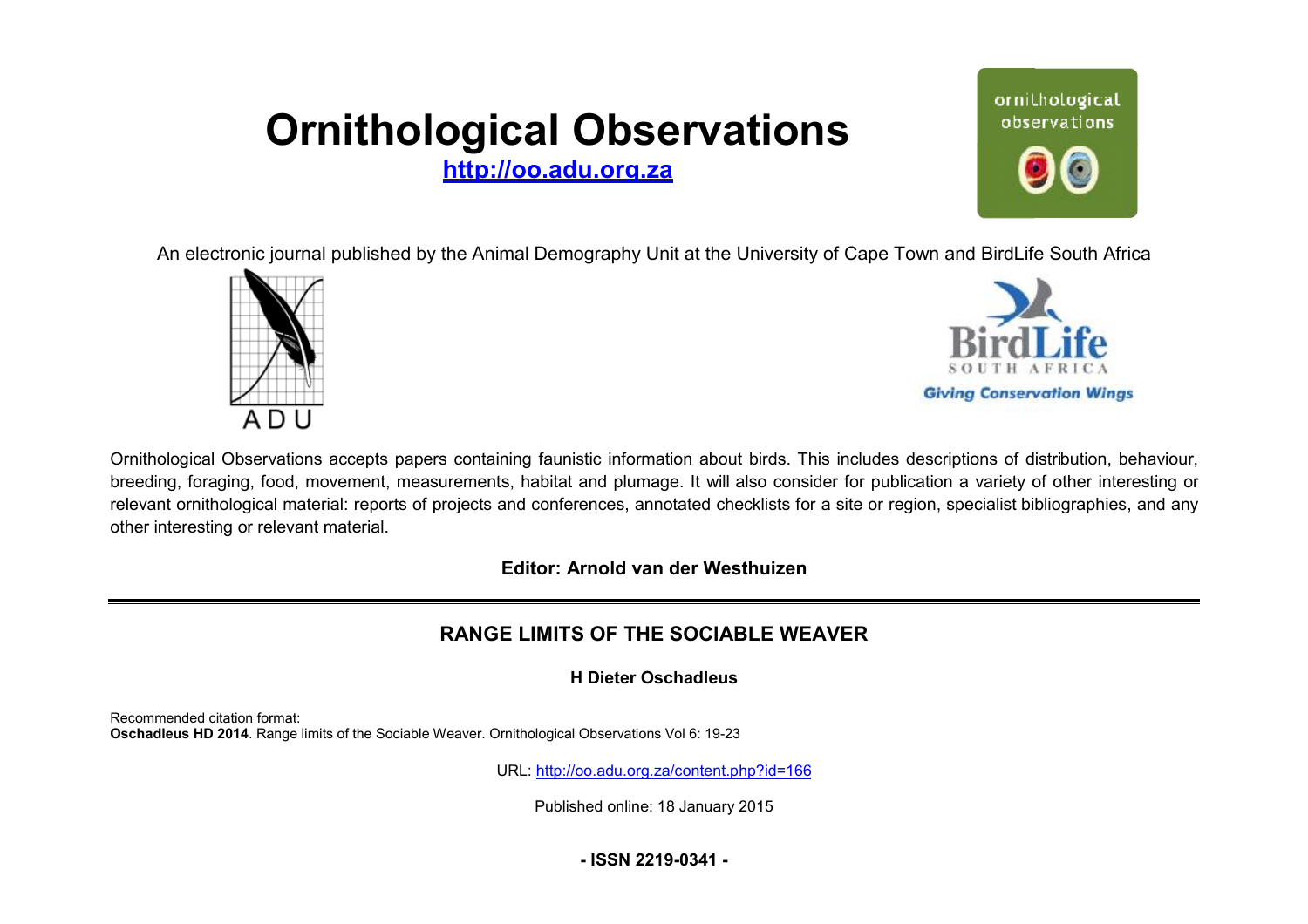# **Ornithological Observations**

**<http://oo.adu.org.za>**



An electronic journal published by the Animal Demography Unit at the University of Cape Town and BirdLife South Africa





Ornithological Observations accepts papers containing faunistic information about birds. This includes descriptions of distribution, behaviour, breeding, foraging, food, movement, measurements, habitat and plumage. It will also consider for publication a variety of other interesting or relevant ornithological material: reports of projects and conferences, annotated checklists for a site or region, specialist bibliographies, and any other interesting or relevant material.

**Editor: Arnold van der Westhuizen itor:**

## **RANGE LIMITS OF THE SOCIABLE WEAVER**

**H Dieter Oschadleus** 

Recommended citation format: Oschadleus HD 2014. Range limits of the Sociable Weaver. Ornithological Observations Vol 6: 19-23

URL: <http://oo.adu.org.za/content.php?id=166>

Published online: 18 January 2015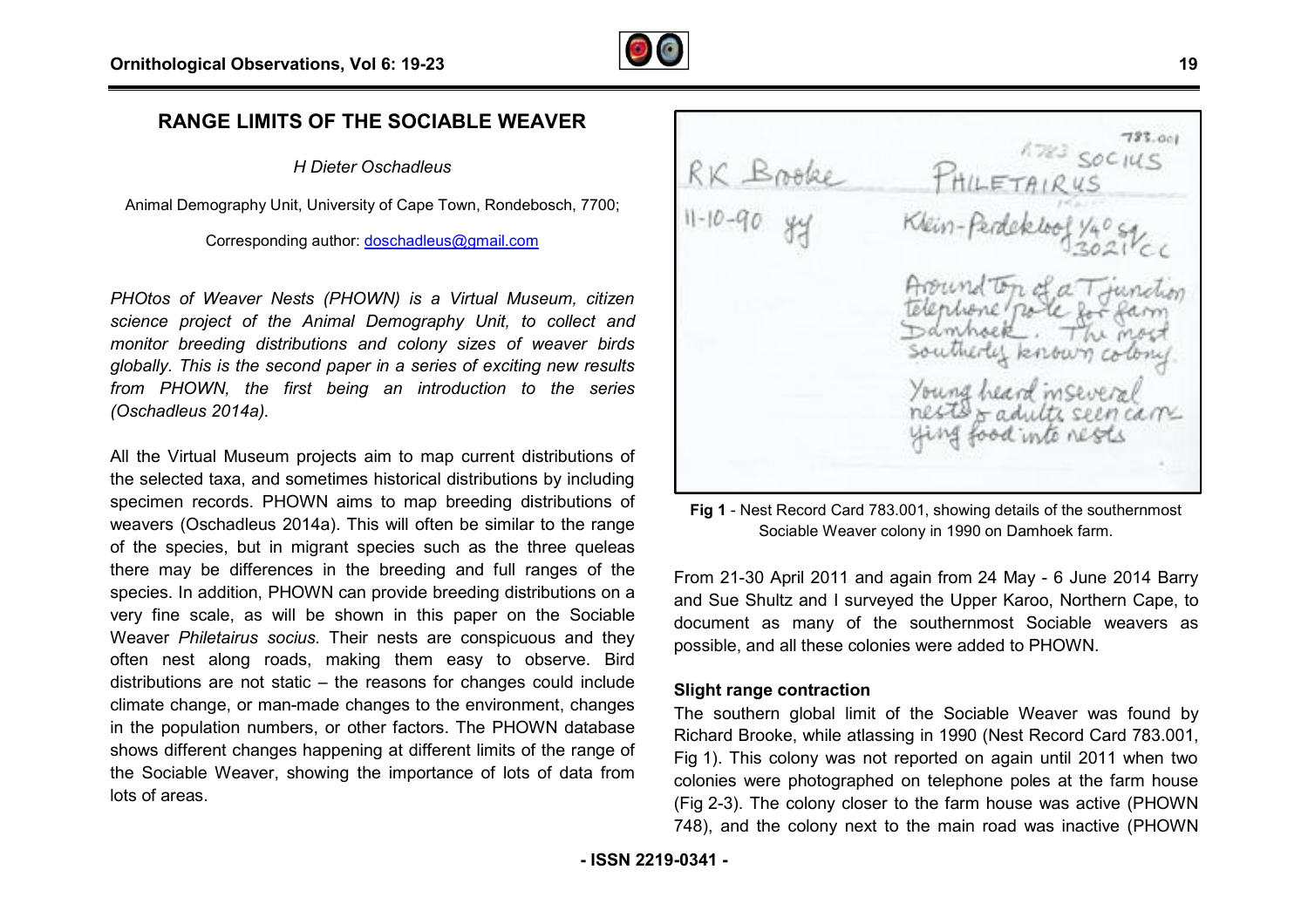

### **RANGE LIMITS OF THE SOCIABLE WEAVER**

*H Dieter Oschadleus*

Animal Demography Unit, University of Cape Town, Rondebosch, 7700;

Corresponding author: doschadleus@gmail.com

*PHOtos of Weaver Nests (PHOWN) is a Virtual Museum, citizen science project of the Animal Demography Unit, to collect and monitor breeding distributions and colony sizes of weaver birds globally. This is the second paper in a series of exciting nnew results from PHOWN, the first being an introduction to the series (Oschadleus 2014a).* 

All the Virtual Museum projects aim to map current distributions of the selected taxa, and sometimes historical distributions by including specimen records. PHOWN aims to map breeding distributions of weavers (Oschadleus 2014a). This will often be similar to the range of the species, but in migrant species such as the three queleas there may be differences in the breeding and full ranges of the species. In addition, PHOWN can provide breeding distributions on a very fine scale, as will be shown in this paper on the Sociable Weaver *Philetairus socius*. Their nests are conspicuous and they often nest along roads, making them easy to observe. Bird distributions are not static – the reasons for changes could include climate change, or man-made changes to the environment, changes in the population numbers, or other factors. The PHOWN database shows different changes happening at different limits of the range of the Sociable Weaver, showing the importance of lots of data from lots of areas. e selected taxa, and sometimes historical distributions by including<br>
eavers (Oschadleus 2014a). This will often be similar to the range<br>
envers (Schadleus 2014a). This will often be similar to the range<br>
the species, but

 $723.001$  $RK$  Brooke

Sociable Weaver colony in 1990 on Damhoek farm. Fig 1 - Nest Record Card 783.001, showing details of the southernmost

From 21-30 April 2011 and again from 24 May - 6 June 2014 Barry and Sue Shultz and I surveyed the Upper Karoo, Northern Cape, to document as many of the southernmost Sociable weavers as possible, and all these colonies were added to PHOWN.

#### **Slight range contraction**

The southern global limit of the Sociable Weaver was found by Richard Brooke, while atlassing in 1990 (Nest Record Card 783.001, Fig 1). This colony was not reported on again until 2011 when two colonies were photographed on telephone poles at the farm house colonies were photographed on telephone poles at the farm house<br>(Fig 2-3). The colony closer to the farm house was active (PHOWN 748), and the colony next to the main road was inactive (PHOWN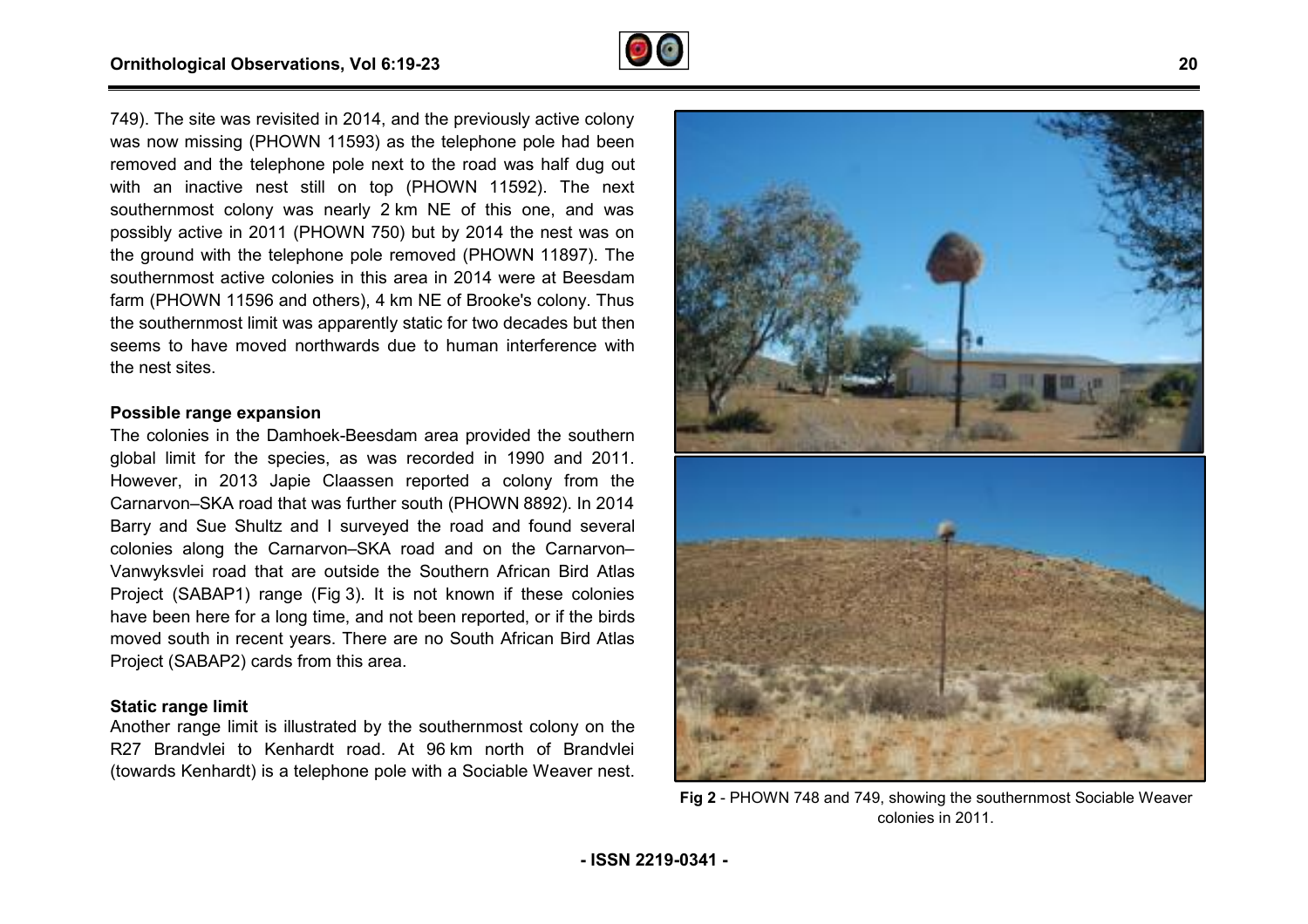

749). The site was revisited in 2014, and the previously active colony was now missing (PHOWN 11593) as the telephone pole had been removed and the telephone pole next to the road was half dug out 749). The site was revisited in 2014, and the previously active colony was now missing (PHOWN 11593) as the telephone pole had been removed and the telephone pole next to the road was half dug out with an inactive nest sti southernmost colony was nearly 2 km NE of this one, and was possibly active in 2011 (PHOWN 750) but by 2014 the nest was on possibly active in 2011 (PHOWN 750) but by 2014 the nest was on<br>the ground with the telephone pole removed (PHOWN 11897). The southernmost active colonies in this area in 2014 were at Beesdam farm (PHOWN 11596 and others), 4 km NE of Brooke's colony. Thus the southernmost limit was apparently static for two decades but then seems to have moved northwards due to human interference with the nest sites.

#### **Possible range expansion**

The colonies in the Damhoek-Beesdam area provided the southern global limit for the species, as was recorded in 1990 and 2011. However, in 2013 Japie Claassen reported a colony from the Carnarvon–SKA road that was further south (PHOWN 8892 Barry and Sue Shultz and I surveyed the road and found several colonies along the Carnarvon–SKA road and on the Carnarvon– Vanwyksvlei road that are outside the Southern African Bird Atlas Project (SABAP1) range (Fig 3). It is not known if these colonies have been here for a long time, and not been reported, or if the birds moved south in recent years. There are no South African Bird Atlas Project (SABAP2) cards from this area. Beesdam area provided the southern<br>is was recorded in 1990 and 2011.<br>iassen reported a colony from the<br>further south (PHOWN 8892). In 2014

#### **Static range limit**

Another range limit is illustrated by the southernmost colony on the R27 Brandvlei to Kenhardt road. At 96 km north of Brandvlei (towards Kenhardt) is a telephone pole with a Sociable Weaver nest. n red<br>P2) d<br>**imit**<br>i to<br>ardt)



**Fig 2** - PHOWN 748 and 749, showing the southernmost Sociable Weaver colonies in 2011.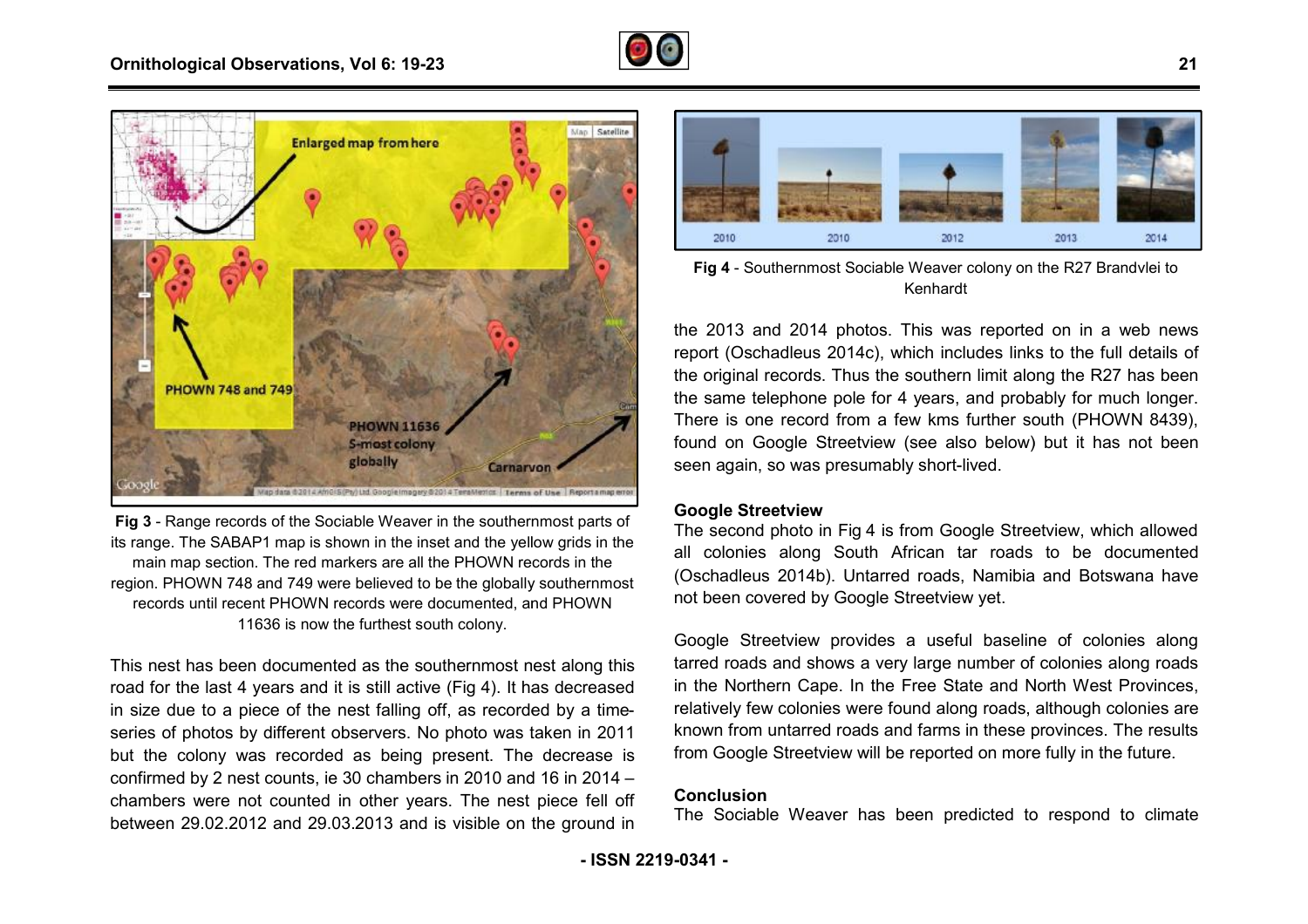



**Fig 3** - Range records of the Sociable Weaver in the southernmost parts of its range. The SABAP1 map is shown in the inset and the yellow grids in the main map section. The red markers are all the PHOWN records in the region. PHOWN 748 and 749 were believed to be the globally southernmost records until recent PHOWN records were documented, and PHOWN 11636 is now the furthest south colony.

This nest has been documented as the southernmost nest along this road for the last 4 years and it is still active (Fig 4). It has decreased in size due to a piece of the nest falling off, as recorded by a timeseries of photos by different observers. No photo was taken in 2011 but the colony was recorded as being present. The decrease is confirmed by 2 nest counts, ie 30 chambers in 2010 and 16 in 2014 – chambers were not counted in other years. The nest piece fell off between 29.02.2012 and 29.03.2013 and is visible on the ground in



Kenhardt Fig 4 - Southernmost Sociable Weaver colony on the R27 Brandvlei to

the 2013 and 2014 photos. This was reported on in a web news report (Oschadleus 2014c), which includes links to the full details of the original records. Thus the southern limit along the R27 has been the same telephone pole for 4 years, and probably for much longer. the same telephone pole for 4 years, and probably for much longer.<br>There is one record from a few kms further south (PHOWN 8439), found on Google Streetview (see also below) but it has not been seen again, so was presumably short-lived.

#### **Google Streetview**

The second photo in Fig 4 is from Google Streetview, which allowed all colonies along South African tar roads to be documented (Oschadleus 2014b). Untarred roads, Namibia and Botswana have not been covered by Google Streetview yet.

Google Streetview provides a useful baseline of colonies along tarred roads and shows a very large number of colonies along roads in the Northern Cape. In the Free State and North West Provinces, relatively few colonies were found along roads, although colonies are known from untarred roads and farms in these provinces. The results from Google Streetview will be reported on more fully in the future.

#### **Conclusion**

The Sociable Weaver has been predicted to respond to climate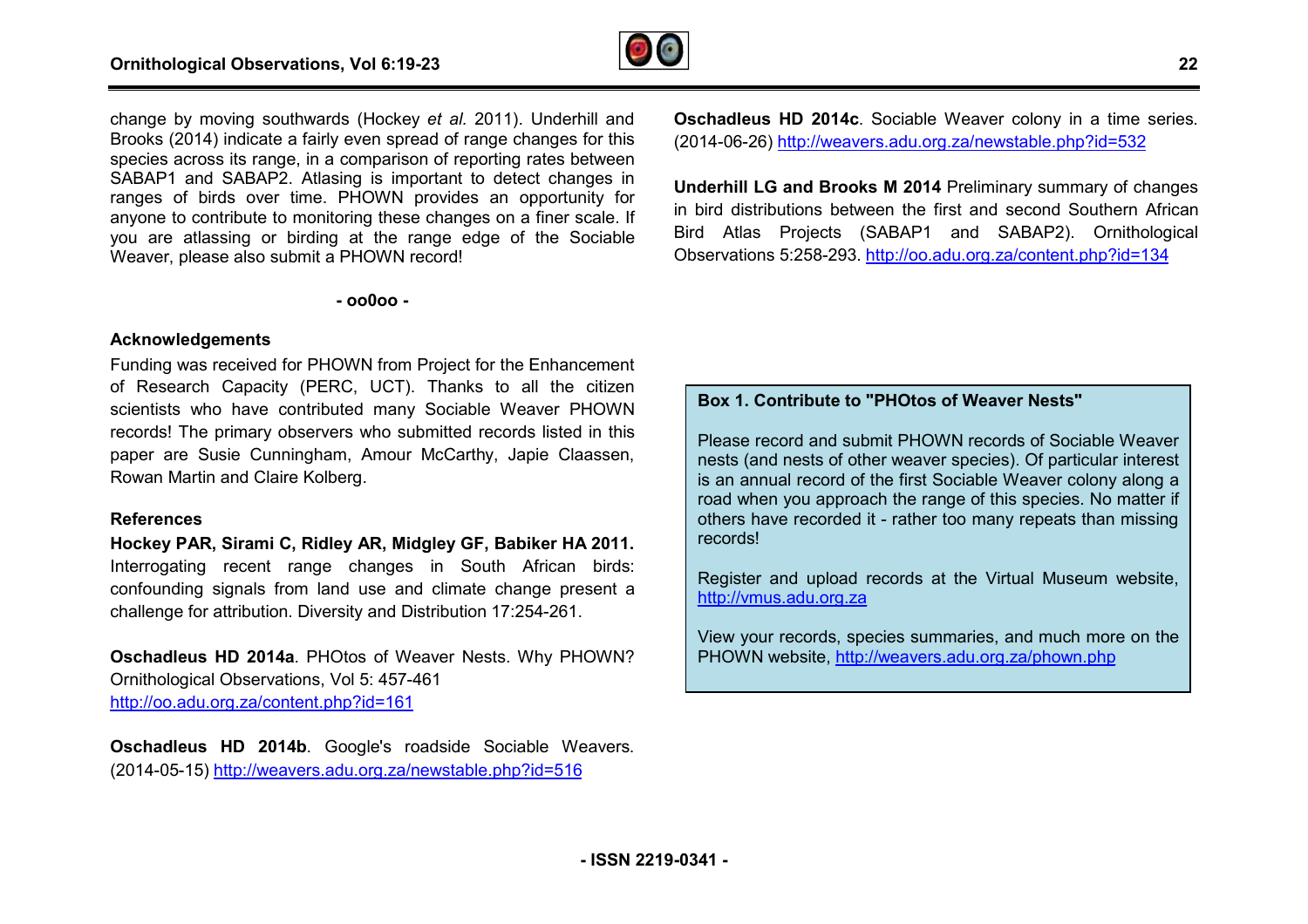

change by moving southwards (Hockey *et al.* 2011). Underhill and Brooks (2014) indicate a fairly even spread of range changes for this species across its range, in a comparison of reporting rates between SABAP1 and SABAP2. Atlasing is important to detect changes in ranges of birds over time. PHOWN provides an opportunity for anyone to contribute to monitoring these changes on a finer scale. If you are atlassing or birding at the range edge of the Sociable Weaver, please also submit a PHOWN record! 4) indicate a fairly even spread of range changes for this<br>oss its range, in a comparison of reporting rates between<br>id SABAP2. Atlasing is important to detect changes in<br>birds over time. PHOWN provides an opportunity for<br>

**- oo0oo -** 

#### **Acknowledgements**

Funding was received for PHOWN from Project for the Enhancement of Research Capacity (PERC, UCT). Thanks to all the citizen scientists who have contributed many Sociable Weaver PHOWN records! The primary observers who submitted records listed in this paper are Susie Cunningham, Amour McCarthy, Japie Claassen, Rowan Martin and Claire Kolberg.

#### **References**

**Hockey PAR, Sirami C, Ridley AR, Midgley GF, Babiker HA dley 2011.** Interrogating recent range changes in South African birds: confounding signals from land use and climate change present a challenge for attribution. Diversity and Distribution 17:254 17:254-261.

**Oschadleus HD 2014a**. PHOtos of Weaver Nests. Why PHOWN? Ornithological Observations, Vol 5: 457-461 <http://oo.adu.org.za/content.php?id=161>

**Oschadleus HD 2014b**. Google's roadside Sociable Weavers Weavers. (2014-05-15) <http://weavers.adu.org.za/newstable.php?id=516>

**Oschadleus HD 2014c.** Sociable Weaver colony in a time series. (2014-06-26) <http://weavers.adu.org.za/newstable.php?id=532>

**Underhill LG and Brooks M 2014** Preliminary summary of changes in bird distributions between the first and second Southern African Bird Atlas Projects (SABAP1 and SABAP2). Ornithological Observations 5:258-293.<http://oo.adu.org.za/content.php?id=134>

#### **Box 1. Contribute to "PHOtos of Weaver Nests"**

Please record and submit PHOWN records of Sociable Weaver nests (and nests of other weaver species). Of particular interest is an annual record of the first Sociable Weaver colony along a road when you approach the range of this species. No matter if others have recorded it - rather too many repeats than missing records!

Register and upload records at the Virtual Museum website, <http://vmus.adu.org.za>

View your records, species summaries, and much more on the PHOWN website, <http://weavers.adu.org.za/phown.php>